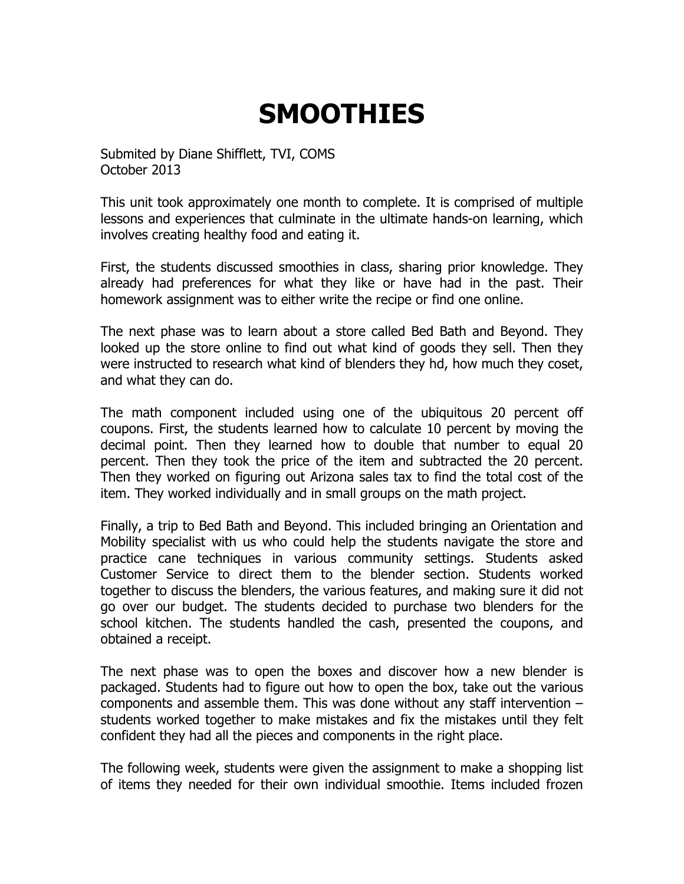## **SMOOTHIES**

Submited by Diane Shifflett, TVI, COMS October 2013

This unit took approximately one month to complete. It is comprised of multiple lessons and experiences that culminate in the ultimate hands-on learning, which involves creating healthy food and eating it.

First, the students discussed smoothies in class, sharing prior knowledge. They already had preferences for what they like or have had in the past. Their homework assignment was to either write the recipe or find one online.

The next phase was to learn about a store called Bed Bath and Beyond. They looked up the store online to find out what kind of goods they sell. Then they were instructed to research what kind of blenders they hd, how much they coset, and what they can do.

The math component included using one of the ubiquitous 20 percent off coupons. First, the students learned how to calculate 10 percent by moving the decimal point. Then they learned how to double that number to equal 20 percent. Then they took the price of the item and subtracted the 20 percent. Then they worked on figuring out Arizona sales tax to find the total cost of the item. They worked individually and in small groups on the math project.

Finally, a trip to Bed Bath and Beyond. This included bringing an Orientation and Mobility specialist with us who could help the students navigate the store and practice cane techniques in various community settings. Students asked Customer Service to direct them to the blender section. Students worked together to discuss the blenders, the various features, and making sure it did not go over our budget. The students decided to purchase two blenders for the school kitchen. The students handled the cash, presented the coupons, and obtained a receipt.

The next phase was to open the boxes and discover how a new blender is packaged. Students had to figure out how to open the box, take out the various components and assemble them. This was done without any staff intervention – students worked together to make mistakes and fix the mistakes until they felt confident they had all the pieces and components in the right place.

The following week, students were given the assignment to make a shopping list of items they needed for their own individual smoothie. Items included frozen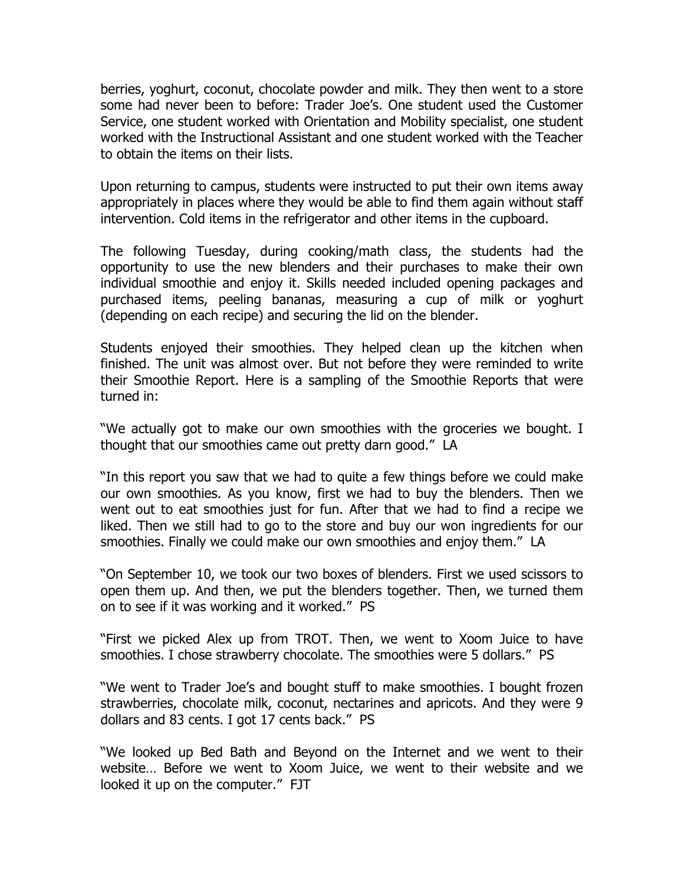berries, yoghurt, coconut, chocolate powder and milk. They then went to a store some had never been to before: Trader Joe's. One student used the Customer Service, one student worked with Orientation and Mobility specialist, one student worked with the Instructional Assistant and one student worked with the Teacher to obtain the items on their lists.

Upon returning to campus, students were instructed to put their own items away appropriately in places where they would be able to find them again without staff intervention. Cold items in the refrigerator and other items in the cupboard.

The following Tuesday, during cooking/math class, the students had the opportunity to use the new blenders and their purchases to make their own individual smoothie and enjoy it. Skills needed included opening packages and purchased items, peeling bananas, measuring a cup of milk or yoghurt (depending on each recipe) and securing the lid on the blender.

Students enjoyed their smoothies. They helped clean up the kitchen when finished. The unit was almost over. But not before they were reminded to write their Smoothie Report. Here is a sampling of the Smoothie Reports that were turned in:

"We actually got to make our own smoothies with the groceries we bought. I thought that our smoothies came out pretty darn good." LA

"In this report you saw that we had to quite a few things before we could make our own smoothies. As you know, first we had to buy the blenders. Then we went out to eat smoothies just for fun. After that we had to find a recipe we liked. Then we still had to go to the store and buy our won ingredients for our smoothies. Finally we could make our own smoothies and enjoy them." LA

"On September 10, we took our two boxes of blenders. First we used scissors to open them up. And then, we put the blenders together. Then, we turned them on to see if it was working and it worked." PS

"First we picked Alex up from TROT. Then, we went to Xoom Juice to have smoothies. I chose strawberry chocolate. The smoothies were 5 dollars." PS

"We went to Trader Joe's and bought stuff to make smoothies. I bought frozen strawberries, chocolate milk, coconut, nectarines and apricots. And they were 9 dollars and 83 cents. I got 17 cents back." PS

"We looked up Bed Bath and Beyond on the Internet and we went to their website… Before we went to Xoom Juice, we went to their website and we looked it up on the computer." FJT